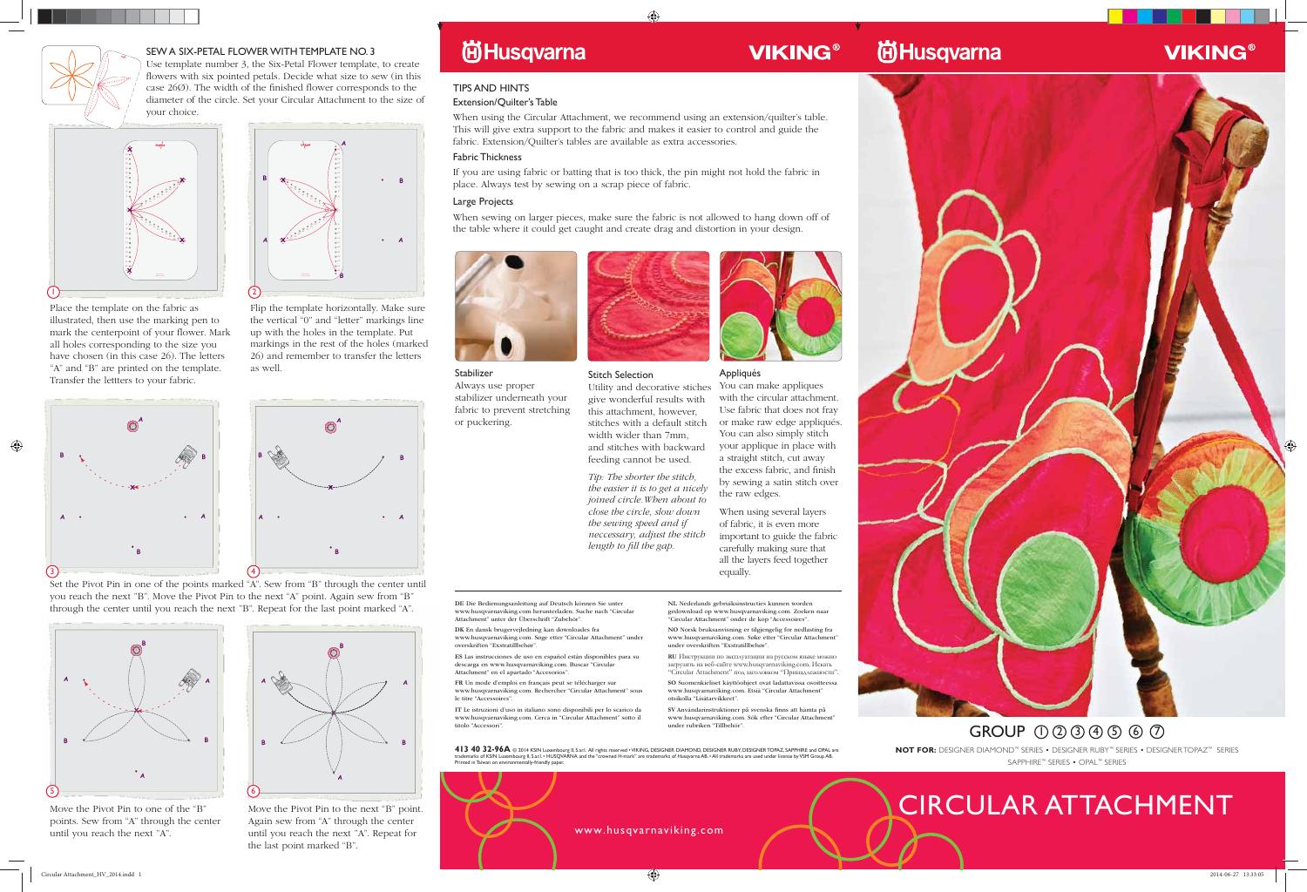

# CIRCULAR ATTACHMENT

#### Stabilizer

Always use proper stabilizer underneath your fabric to prevent stretching or puckering.



#### TIPS AND HINTS

#### Extension/Quilter's Table

When using the Circular Attachment, we recommend using an extension/quilter's table. This will give extra support to the fabric and makes it easier to control and guide the fabric. Extension/Quilter's tables are available as extra accessories.

#### Fabric Thickness

If you are using fabric or batting that is too thick, the pin might not hold the fabric in place. Always test by sewing on a scrap piece of fabric.

#### Large Projects

When sewing on larger pieces, make sure the fabric is not allowed to hang down off of the table where it could get caught and create drag and distortion in your design.





#### SEW A SIX-PETAL FLOWER WITH TEMPLATE NO. 3

Use template number 3, the Six-Petal Flower template, to create flowers with six pointed petals. Decide what size to sew (in this case 26Ø). The width of the finished flower corresponds to the diameter of the circle. Set your Circular Attachment to the size of your choice. y

Place the template on the fabric as illustrated, then use the marking pen to mark the centerpoint of your flower. Mark all holes corresponding to the size you have chosen (in this case 26). The letters "A" and "B" are printed on the template. Transfer the lettters to your fabric.

Flip the template horizontally. Make sure the vertical "0" and "letter" markings line up with the holes in the template. Put markings in the rest of the holes (marked 26) and remember to transfer the letters as well.

> **NOT FOR:** DESIGNER DIAMOND™ SERIES • DESIGNER RUBY™ SERIES • DESIGNER TOPAZ™ SERIES SAPPHIRE™ SERIES • OPAL™ SERIES  $GROUP$   $0$   $0$   $0$   $0$   $0$   $0$   $0$





## **VIKING®**

Set the Pivot Pin in one of the points marked "A". Sew from "B" through the center until you reach the next "B". Move the Pivot Pin to the next "A" point. Again sew from "B" through the center until you reach the next "B". Repeat for the last point marked "A".





Move the Pivot Pin to one of the "B" points. Sew from "A" through the center until you reach the next "A".

Move the Pivot Pin to the next "B" point. Again sew from "A" through the center until you reach the next "A". Repeat for the last point marked "B".

## **尚Husqvarna**



**A**

**0 B X . . . A A A B . .** .<br>.<br>.<br>.<br>. **X B X**

**A**



413 40 32-96A @ 2014 KSIN Luxembourg II, S.ar.I. All rights reserved • VIKING, DESIGNER OIAMOND, DESIGNER RUBY, DESIGNER TOPAZ, SAPPHIRE and OPAL are<br>trademarks of KSIN Luxembourg II, S.ar.I. • HUSQVARNA and the "crowned H Printed in Taiwan on environmentally-friendly paper.

#### Stitch Selection

Utility and decorative stiches give wonderful results with this attachment, however, stitches with a default stitch and stitches with backward

width wider than 7mm, feeding cannot be used.

Tip: The shorter the stitch, the easier it is to get a nicely joined circle.When about to close the circle, slow down the sewing speed and if length to fill the gap.



**VIKING®** 

neccessary, adjust the stitch

#### Appliqués

You can make appliques with the circular attachment. Use fabric that does not fray or make raw edge appliqués. You can also simply stitch your applique in place with a straight stitch, cut away the excess fabric, and finish by sewing a satin stitch over the raw edges.

When using several layers of fabric, it is even more important to guide the fabric carefully making sure that all the layers feed together equally.



**ES** Las instrucciones de uso en español están disponibles para su descarga en www.husqvarnaviking.com. Buscar "Circular

Attachment" en el apartado "Accesorios".

le titre "Accessoires"

**FR** Un mode d'emploi en français peut se télécharger sur www.husqvarnaviking.com. Rechercher "Circular Attachment" sous

**IT** Le istruzioni d'uso in italiano sono disponibili per lo scarico da www.husqvarnaviking.com. Cerca in "Circular Attachment" sotto il

titolo "Accessori".

**NL** Nederlands gebruiksinstructies kunnen worden gedownload op www.husqvarnaviking.com. Zoeken naar "Circular Attachment" onder de kop "Accessoires".

**NO** Norsk bruksanvisning er tilgjengelig for nedlasting fra www.husqvarnaviking.com. Søke etter "Circular Attachment" under overskriften "Exstratillbehør".

**RU** Инструкции по эксплуатации на русском языке можно загрузить на веб-сайте www.husqvarnaviking.com. Искать "Circular Attachment" под заголовком "Принадлежности".

**SO** Suomenkieliset käyttöohjeet ovat ladattavissa osoitteessa www.husqvarnaviking.com. Etsiä "Circular Attachment" otsikolla "Lisätarvikkeet".

**SV** Användarinstruktioner på svenska finns att hämta på www.husqvarnaviking.com. Sök efter "Circular Attachment" under rubriken "Tillbehör".

www.husqvarnaviking.com